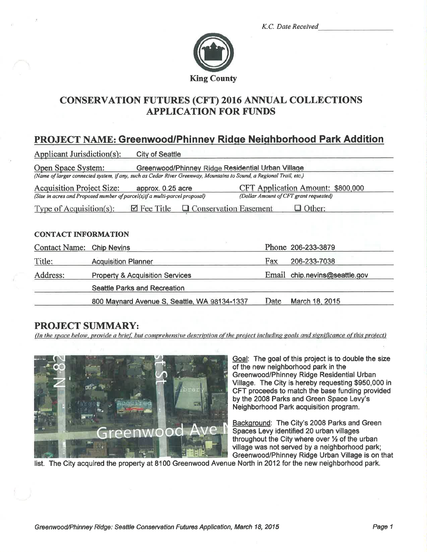K.C. Date Received



# **CONSERVATION FUTURES (CFT) 2016 ANNUAL COLLECTIONS APPLICATION FOR FUNDS**

# **PROJECT NAME: Greenwood/Phinney Ridge Neighborhood Park Addition**

| <b>Applicant Jurisdiction(s):</b>                                                                                                   | <b>City of Seattle</b>                                                                                                                                                   |                                                                             |                         |  |  |  |  |
|-------------------------------------------------------------------------------------------------------------------------------------|--------------------------------------------------------------------------------------------------------------------------------------------------------------------------|-----------------------------------------------------------------------------|-------------------------|--|--|--|--|
| Open Space System:                                                                                                                  | Greenwood/Phinney Ridge Residential Urban Village<br>(Name of larger connected system, if any, such as Cedar River Greenway, Mountains to Sound, a Regional Trail, etc.) |                                                                             |                         |  |  |  |  |
| <b>Acquisition Project Size:</b><br>approx. 0.25 acre<br>(Size in acres and Proposed number of parcel(s)if a multi-parcel proposal) |                                                                                                                                                                          | CFT Application Amount: \$800,000<br>(Dollar Amount of CFT grant requested) |                         |  |  |  |  |
| Type of Acquisition(s):                                                                                                             | $\boxtimes$ Fee Title<br>□ Conservation Easement                                                                                                                         |                                                                             | $\Box$ Other:           |  |  |  |  |
| <b>CONTACT INFORMATION</b>                                                                                                          |                                                                                                                                                                          |                                                                             |                         |  |  |  |  |
| <b>Contact Name:</b>                                                                                                                | <b>Chip Nevins</b>                                                                                                                                                       |                                                                             | Phone 206-233-3879      |  |  |  |  |
| Title:                                                                                                                              | <b>Acquisition Planner</b>                                                                                                                                               | Fax                                                                         | 206-233-7038            |  |  |  |  |
| Address:                                                                                                                            | <b>Property &amp; Acquisition Services</b>                                                                                                                               | Email                                                                       | chip.nevins@seattle.gov |  |  |  |  |
|                                                                                                                                     | Seattle Parks and Recreation                                                                                                                                             |                                                                             |                         |  |  |  |  |
|                                                                                                                                     | 800 Maynard Avenue S, Seattle, WA 98134-1337                                                                                                                             | Date                                                                        | March 18, 2015          |  |  |  |  |

# **PROJECT SUMMARY:**

(In the space below, provide a brief, but comprehensive description of the project including goals and significance of this project)



Goal: The goal of this project is to double the size of the new neighborhood park in the Greenwood/Phinney Ridge Residential Urban Village. The City is hereby requesting \$950,000 in CFT proceeds to match the base funding provided by the 2008 Parks and Green Space Levy's Neighborhood Park acquisition program.

Background: The City's 2008 Parks and Green Spaces Levy identified 20 urban villages throughout the City where over 1/2 of the urban village was not served by a neighborhood park; Greenwood/Phinney Ridge Urban Village is on that

list. The City acquired the property at 8100 Greenwood Avenue North in 2012 for the new neighborhood park.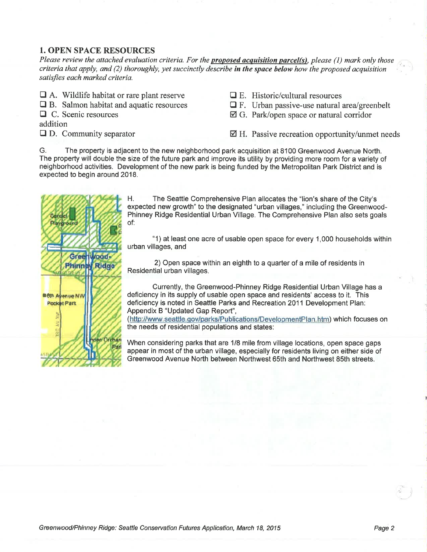### I. OPEN SPACE RESOURCES

Please review the attached evaluation criteria. For the **proposed acquisition parcel(s)**, please (1) mark only those criteria that apply, and  $(2)$  thoroughly, yet succinctly describe in the space below how the proposed acquisition satisfies each marked criteria.

- $\Box$  A. Wildlife habitat or rare plant reserve
- $\Box$  B. Salmon habitat and aquatic resources
- $\Box$  C. Scenic resources

addition

 $\Box$  D. Community separator

- $\Box$  E. Historic/cultural resources
- $\Box$  F. Urban passive-use natural area/greenbelt
- Ø G. Park/open space or natural corridor

 $\boxtimes$  H. Passive recreation opportunity/unmet needs

G. The property is adjacent to the new neighborhood park acquisition at 8100 Greenwood Avenue North. The property will double the size of the future park and improve its utility by providing more room for a variety of neighborhood activities. Development of the new park is being funded by the Metropolitan Park District and is expected to begin around 2018.



H. The Seattle Comprehensive Plan allocates the "lion's share of the City's expected new growth" to the designated "urban villages," including the Greenwood-Phinney Ridge Residential Urban Village. The Comprehensive Plan also sets goals of:

"1) at least one acre of usable open space for every 1,000 households within urban villages, and

2) Open space within an eighth to a quarter of a mile of residents in Residential urban villages.

Currently, the Greenwood-Phinney Ridge Residential Urban Village has a deficiency in its supply of usable open space and residents' access to it. This deficiency is noted in Seattle Parks and Recreation 2011 Development Plan:<br>Appendix B "Updated Gap Report",

(http://www.seattle.gov/parks/Publications/DevelopmentPlan.htm) which focuses on the needs of residential populations and states:

When considering parks that are 118 mile from village locations, open space gaps appear in most of the urban village, especially for residents living on either side of Greenwood Avenue North between Northwest 65th and Northwest 85th streets.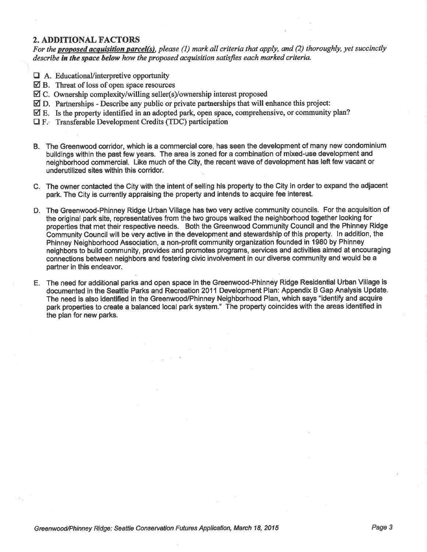#### 2. ADDITIONAL FACTORS

For the proposed acquisition parcel(s), please (1) mark all criteria that apply, and (2) thoroughly, yet succinctly describe in the space below how the proposed acquisition satisfies each marked criteria.

- $\Box$  A. Educational/interpretive opportunity
- $\boxtimes$  B. Threat of loss of open space resources
- $\boxtimes$  C. Ownership complexity/willing seller(s)/ownership interest proposed
- $\boxtimes$  D. Partnerships Describe any public or private partnerships that will enhance this project:
- $\boxtimes$  E. Is the property identified in an adopted park, open space, comprehensive, or community plan?
- $\Box$  F. Transferable Development Credits (TDC) participation
- B. The Greenwood corridor, which is a commercial core, has seen the development of many new condominium buildings within the past few years. The area is zoned for a combination of mixed-use development and neighborhood commercial. Like much of the City, the recent wave of development has left few vacant or underutilized sites within this corridor.
- C. The owner contacted the City with the intent of selling his property to the Gity in order to expand the adjacent park. The City is currently appraising the property and intends to acquire fee interest.
- D. The Greenwood-Phinney Ridge Urban Village has two very active community councils. For the acquisition of the original park site, representatives from the two groups walked the neighborhood together looking for properties that met their respective needs. Both the Greenwood Community Counciland the Phinney Ridge Communig Council will be very active in the development and stewardship of this property. ln addition, the Phinney Neighborhood Association, a non-profit community organization founded in 1980 by Phinney neighbors to build community, provides and promotes programs, services and activities aimed at encouraging connections between neighbors and fostering civic involvement in our diverse community and would be a partner in this endeavor.
- E. The need for additional parks and open space in the Greenwood-Phinney Ridge Residential Urban Village is documented in the Seattle.Parks and Recreation 2011 Development Plan: Appendix B Gap Analysis Update. The need is also identified in the Greenwood/Phinney Neighborhood Plan, which says "identify and acquire park properties to create a balanced local park system." The property coincides with the areas identified in the plan for new parks.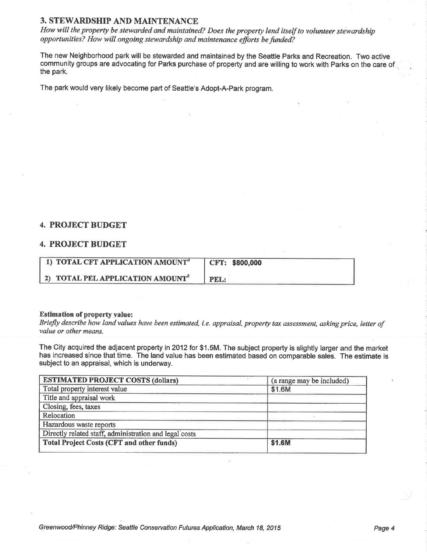### 3. STEWARDSHIP AND MAINTENANCE

How will the property be stewarded and maintained? Does the property lend itself to volunteer stewardship opportunities? How will ongoing stewardship and maintenance efforts be funded?

The new Neighborhood park will be stewarded and maintained by the Seattle Parks and Recreation. Two active community groups are advocating for Parks purchase of property and are willing to work with Parks on the care of . the park.

The park would very likely become part of Seattle's Adopt-A-Park program.

### 4. PROJECT BUDGET

#### 4. PROJECT BUDGET

| 1) TOTAL CFT APPLICATION AMOUNT <sup>a</sup> | CFT: \$800,000 |
|----------------------------------------------|----------------|
| 2) TOTAL PEL APPLICATION AMOUNT <sup>b</sup> | PEL:           |

#### Estimation of property value:

Briefly describe how land values have been estimated, i.e. appraisal, property tax assessment, asking price, letter of value or other means.

The City acquired the adjacent property in2012 for \$1.5M. The subject property is slightly larger and the market has increased since that time. The land value has been estimated based on comparable sales. The estimate is subject to an appraisal, which is underway.

| <b>ESTIMATED PROJECT COSTS (dollars)</b>               | (a range may be included) |
|--------------------------------------------------------|---------------------------|
| Total property interest value                          | \$1.6M                    |
| Title and appraisal work                               |                           |
| Closing, fees, taxes                                   |                           |
| Relocation                                             |                           |
| Hazardous waste reports                                |                           |
| Directly related staff, administration and legal costs |                           |
| <b>Total Project Costs (CFT and other funds)</b>       | \$1.6M                    |
|                                                        |                           |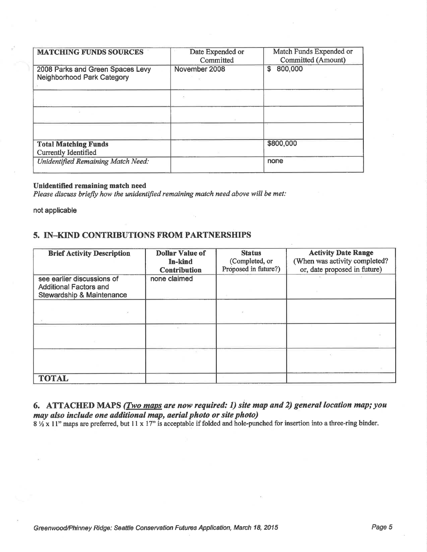| <b>MATCHING FUNDS SOURCES</b>                                  | Date Expended or<br>Committed | Match Funds Expended or<br><b>Committed (Amount)</b> |
|----------------------------------------------------------------|-------------------------------|------------------------------------------------------|
| 2008 Parks and Green Spaces Levy<br>Neighborhood Park Category | November 2008                 | 800,000<br>\$                                        |
|                                                                |                               |                                                      |
|                                                                |                               |                                                      |
|                                                                |                               |                                                      |
| <b>Total Matching Funds</b><br><b>Currently Identified</b>     |                               | \$800,000                                            |
| <b>Unidentified Remaining Match Need:</b>                      |                               | none                                                 |

#### Unidentified remaining match need

Please discuss briefly how the unidentified remaining match need above will be met:

not applicable

## 5. IN-KIND CONTRIBUTIONS FROM PARTNERSHIPS

| <b>Brief Activity Description</b>                                                                   | <b>Dollar Value of</b><br><b>In-kind</b><br>Contribution | <b>Status</b><br>(Completed, or<br>Proposed in future?) | <b>Activity Date Range</b><br>(When was activity completed?<br>or, date proposed in future) |
|-----------------------------------------------------------------------------------------------------|----------------------------------------------------------|---------------------------------------------------------|---------------------------------------------------------------------------------------------|
| see earlier discussions of<br><b>Additional Factors and</b><br><b>Stewardship &amp; Maintenance</b> | none claimed                                             |                                                         |                                                                                             |
|                                                                                                     |                                                          |                                                         |                                                                                             |
|                                                                                                     |                                                          |                                                         |                                                                                             |
|                                                                                                     |                                                          |                                                         |                                                                                             |
| <b>TOTAL</b>                                                                                        |                                                          |                                                         |                                                                                             |

### 6. ATTACHED MAPS (*Two maps are now required: 1) site map and 2) general location map; you* may also include one additional map, aerial photo or site photo)

8 1/2 x 11" maps are preferred, but 11 x 17" is acceptable if folded and hole-punched for insertion into a three-ring binder.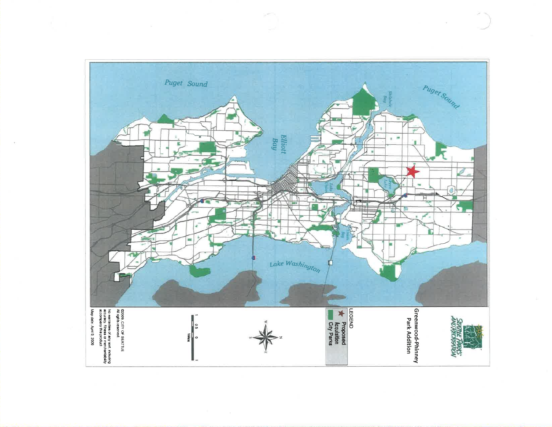

 $\sim$